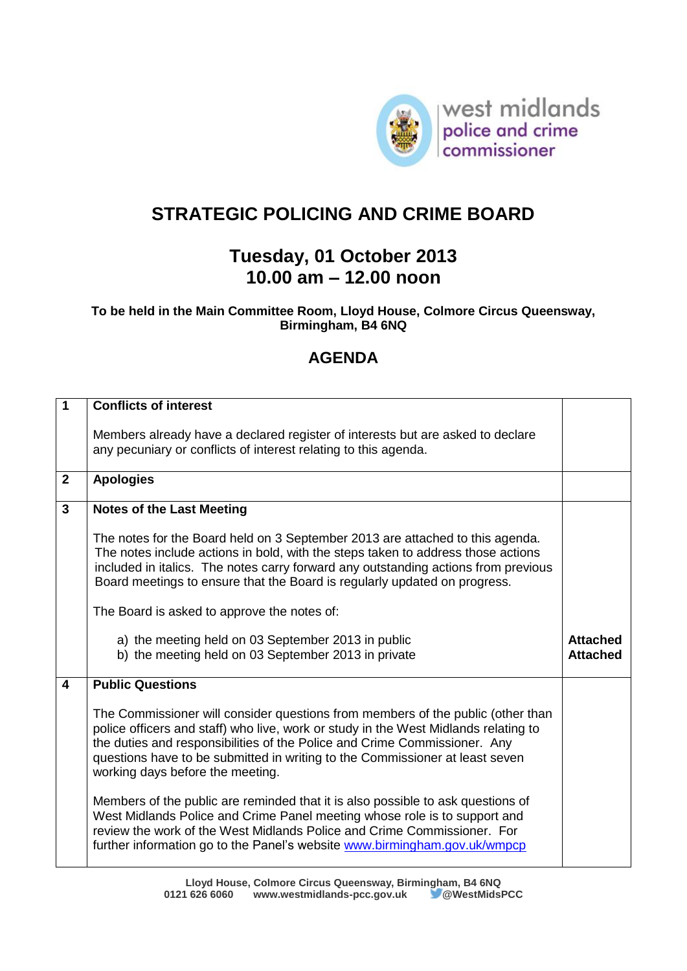

## **STRATEGIC POLICING AND CRIME BOARD**

## **Tuesday, 01 October 2013 10.00 am – 12.00 noon**

## **To be held in the Main Committee Room, Lloyd House, Colmore Circus Queensway, Birmingham, B4 6NQ**

## **AGENDA**

| $\overline{1}$ | <b>Conflicts of interest</b>                                                                                                                                                                                                                                                                                                                                            |                                    |
|----------------|-------------------------------------------------------------------------------------------------------------------------------------------------------------------------------------------------------------------------------------------------------------------------------------------------------------------------------------------------------------------------|------------------------------------|
|                | Members already have a declared register of interests but are asked to declare<br>any pecuniary or conflicts of interest relating to this agenda.                                                                                                                                                                                                                       |                                    |
| $\mathbf{2}$   | <b>Apologies</b>                                                                                                                                                                                                                                                                                                                                                        |                                    |
| $\mathbf{3}$   | <b>Notes of the Last Meeting</b>                                                                                                                                                                                                                                                                                                                                        |                                    |
|                | The notes for the Board held on 3 September 2013 are attached to this agenda.<br>The notes include actions in bold, with the steps taken to address those actions<br>included in italics. The notes carry forward any outstanding actions from previous<br>Board meetings to ensure that the Board is regularly updated on progress.                                    |                                    |
|                | The Board is asked to approve the notes of:                                                                                                                                                                                                                                                                                                                             |                                    |
|                |                                                                                                                                                                                                                                                                                                                                                                         |                                    |
|                | a) the meeting held on 03 September 2013 in public<br>b) the meeting held on 03 September 2013 in private                                                                                                                                                                                                                                                               | <b>Attached</b><br><b>Attached</b> |
| 4              | <b>Public Questions</b>                                                                                                                                                                                                                                                                                                                                                 |                                    |
|                | The Commissioner will consider questions from members of the public (other than<br>police officers and staff) who live, work or study in the West Midlands relating to<br>the duties and responsibilities of the Police and Crime Commissioner. Any<br>questions have to be submitted in writing to the Commissioner at least seven<br>working days before the meeting. |                                    |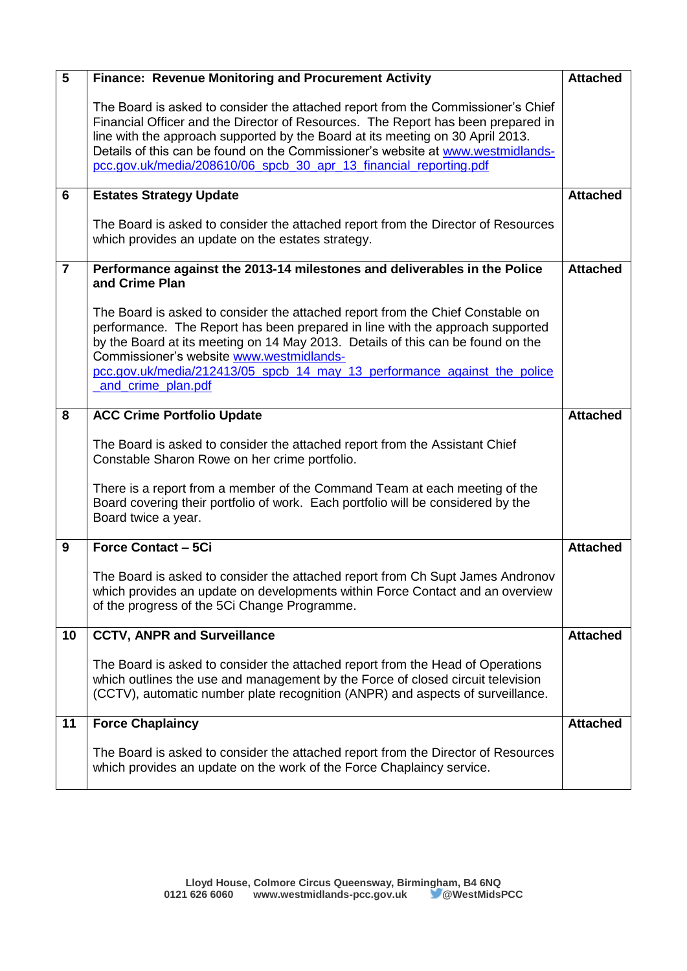| $5\phantom{1}$ | Finance: Revenue Monitoring and Procurement Activity                                                                                                                                                                                                                                                                                                                                                           | <b>Attached</b> |
|----------------|----------------------------------------------------------------------------------------------------------------------------------------------------------------------------------------------------------------------------------------------------------------------------------------------------------------------------------------------------------------------------------------------------------------|-----------------|
|                | The Board is asked to consider the attached report from the Commissioner's Chief<br>Financial Officer and the Director of Resources. The Report has been prepared in<br>line with the approach supported by the Board at its meeting on 30 April 2013.<br>Details of this can be found on the Commissioner's website at www.westmidlands-<br>pcc.gov.uk/media/208610/06_spcb_30_apr_13_financial_reporting.pdf |                 |
| 6              | <b>Estates Strategy Update</b>                                                                                                                                                                                                                                                                                                                                                                                 | <b>Attached</b> |
|                | The Board is asked to consider the attached report from the Director of Resources<br>which provides an update on the estates strategy.                                                                                                                                                                                                                                                                         |                 |
| $\overline{7}$ | Performance against the 2013-14 milestones and deliverables in the Police<br>and Crime Plan                                                                                                                                                                                                                                                                                                                    | <b>Attached</b> |
|                | The Board is asked to consider the attached report from the Chief Constable on<br>performance. The Report has been prepared in line with the approach supported<br>by the Board at its meeting on 14 May 2013. Details of this can be found on the<br>Commissioner's website www.westmidlands-<br>pcc.gov.uk/media/212413/05 spcb 14 may 13 performance against the police<br>and crime plan.pdf               |                 |
| 8              | <b>ACC Crime Portfolio Update</b>                                                                                                                                                                                                                                                                                                                                                                              | <b>Attached</b> |
|                | The Board is asked to consider the attached report from the Assistant Chief<br>Constable Sharon Rowe on her crime portfolio.                                                                                                                                                                                                                                                                                   |                 |
|                | There is a report from a member of the Command Team at each meeting of the<br>Board covering their portfolio of work. Each portfolio will be considered by the<br>Board twice a year.                                                                                                                                                                                                                          |                 |
| 9              | <b>Force Contact - 5Ci</b>                                                                                                                                                                                                                                                                                                                                                                                     | <b>Attached</b> |
|                | The Board is asked to consider the attached report from Ch Supt James Andronov<br>which provides an update on developments within Force Contact and an overview<br>of the progress of the 5Ci Change Programme.                                                                                                                                                                                                |                 |
| 10             | <b>CCTV, ANPR and Surveillance</b>                                                                                                                                                                                                                                                                                                                                                                             | <b>Attached</b> |
|                | The Board is asked to consider the attached report from the Head of Operations<br>which outlines the use and management by the Force of closed circuit television<br>(CCTV), automatic number plate recognition (ANPR) and aspects of surveillance.                                                                                                                                                            |                 |
| 11             | <b>Force Chaplaincy</b>                                                                                                                                                                                                                                                                                                                                                                                        | <b>Attached</b> |
|                | The Board is asked to consider the attached report from the Director of Resources<br>which provides an update on the work of the Force Chaplaincy service.                                                                                                                                                                                                                                                     |                 |